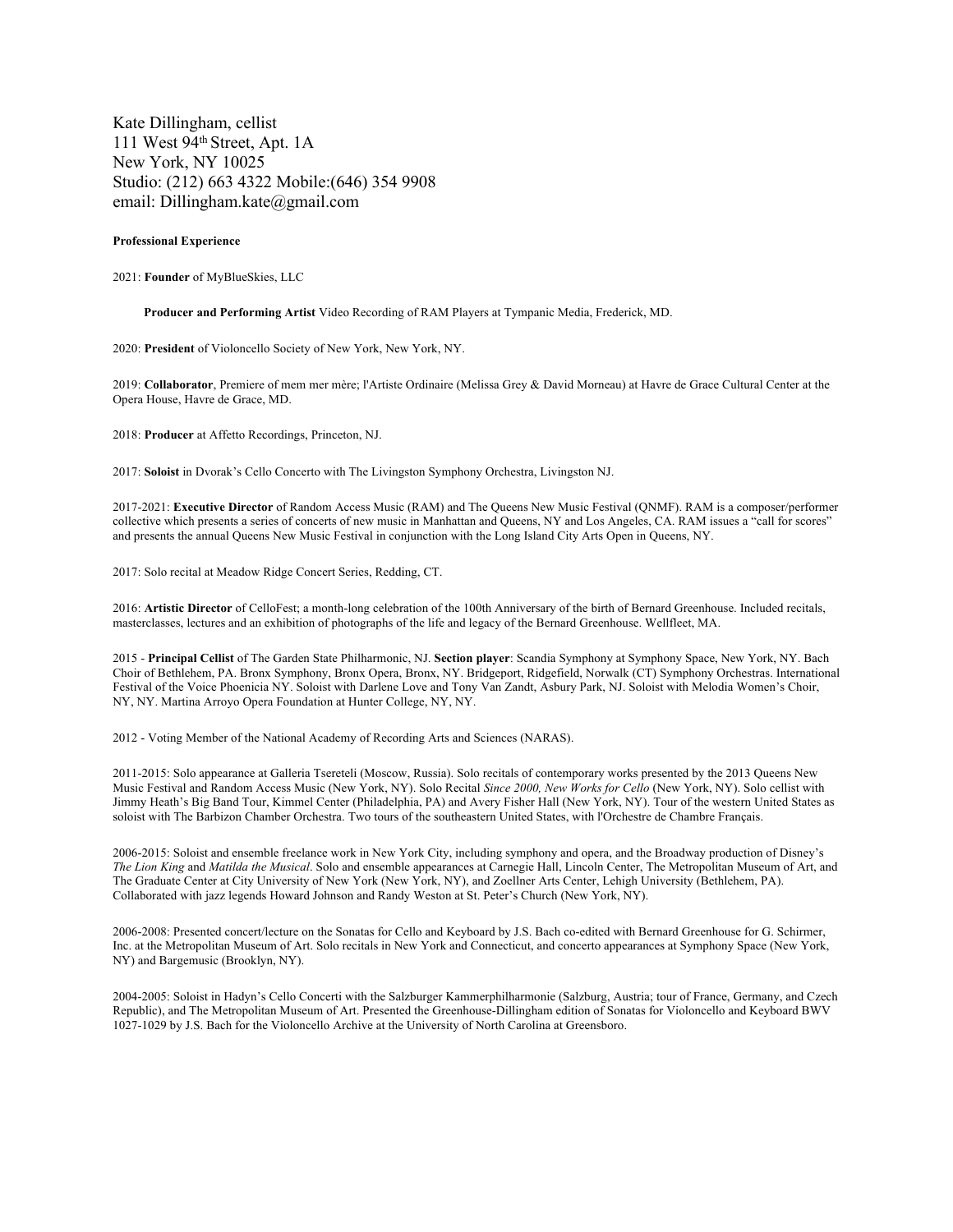Kate Dillingham, cellist 111 West 94th Street, Apt. 1A New York, NY 10025 Studio: (212) 663 4322 Mobile:(646) 354 9908 email: Dillingham.kate@gmail.com

# **Professional Experience**

2021: **Founder** of MyBlueSkies, LLC

**Producer and Performing Artist** Video Recording of RAM Players at Tympanic Media, Frederick, MD.

2020: **President** of Violoncello Society of New York, New York, NY.

2019: **Collaborator**, Premiere of mem mer mère; l'Artiste Ordinaire (Melissa Grey & David Morneau) at Havre de Grace Cultural Center at the Opera House, Havre de Grace, MD.

2018: **Producer** at Affetto Recordings, Princeton, NJ.

2017: **Soloist** in Dvorak's Cello Concerto with The Livingston Symphony Orchestra, Livingston NJ.

2017-2021: **Executive Director** of Random Access Music (RAM) and The Queens New Music Festival (QNMF). RAM is a composer/performer collective which presents a series of concerts of new music in Manhattan and Queens, NY and Los Angeles, CA. RAM issues a "call for scores" and presents the annual Queens New Music Festival in conjunction with the Long Island City Arts Open in Queens, NY.

2017: Solo recital at Meadow Ridge Concert Series, Redding, CT.

2016: **Artistic Director** of CelloFest; a month-long celebration of the 100th Anniversary of the birth of Bernard Greenhouse. Included recitals, masterclasses, lectures and an exhibition of photographs of the life and legacy of the Bernard Greenhouse. Wellfleet, MA.

2015 - **Principal Cellist** of The Garden State Philharmonic, NJ. **Section player**: Scandia Symphony at Symphony Space, New York, NY. Bach Choir of Bethlehem, PA. Bronx Symphony, Bronx Opera, Bronx, NY. Bridgeport, Ridgefield, Norwalk (CT) Symphony Orchestras. International Festival of the Voice Phoenicia NY. Soloist with Darlene Love and Tony Van Zandt, Asbury Park, NJ. Soloist with Melodia Women's Choir, NY, NY. Martina Arroyo Opera Foundation at Hunter College, NY, NY.

2012 - Voting Member of the National Academy of Recording Arts and Sciences (NARAS).

2011-2015: Solo appearance at Galleria Tsereteli (Moscow, Russia). Solo recitals of contemporary works presented by the 2013 Queens New Music Festival and Random Access Music (New York, NY). Solo Recital *Since 2000, New Works for Cello* (New York, NY). Solo cellist with Jimmy Heath's Big Band Tour, Kimmel Center (Philadelphia, PA) and Avery Fisher Hall (New York, NY). Tour of the western United States as soloist with The Barbizon Chamber Orchestra. Two tours of the southeastern United States, with l'Orchestre de Chambre Français.

2006-2015: Soloist and ensemble freelance work in New York City, including symphony and opera, and the Broadway production of Disney's *The Lion King* and *Matilda the Musical*. Solo and ensemble appearances at Carnegie Hall, Lincoln Center, The Metropolitan Museum of Art, and The Graduate Center at City University of New York (New York, NY), and Zoellner Arts Center, Lehigh University (Bethlehem, PA). Collaborated with jazz legends Howard Johnson and Randy Weston at St. Peter's Church (New York, NY).

2006-2008: Presented concert/lecture on the Sonatas for Cello and Keyboard by J.S. Bach co-edited with Bernard Greenhouse for G. Schirmer, Inc. at the Metropolitan Museum of Art. Solo recitals in New York and Connecticut, and concerto appearances at Symphony Space (New York, NY) and Bargemusic (Brooklyn, NY).

2004-2005: Soloist in Hadyn's Cello Concerti with the Salzburger Kammerphilharmonie (Salzburg, Austria; tour of France, Germany, and Czech Republic), and The Metropolitan Museum of Art. Presented the Greenhouse-Dillingham edition of Sonatas for Violoncello and Keyboard BWV 1027-1029 by J.S. Bach for the Violoncello Archive at the University of North Carolina at Greensboro.